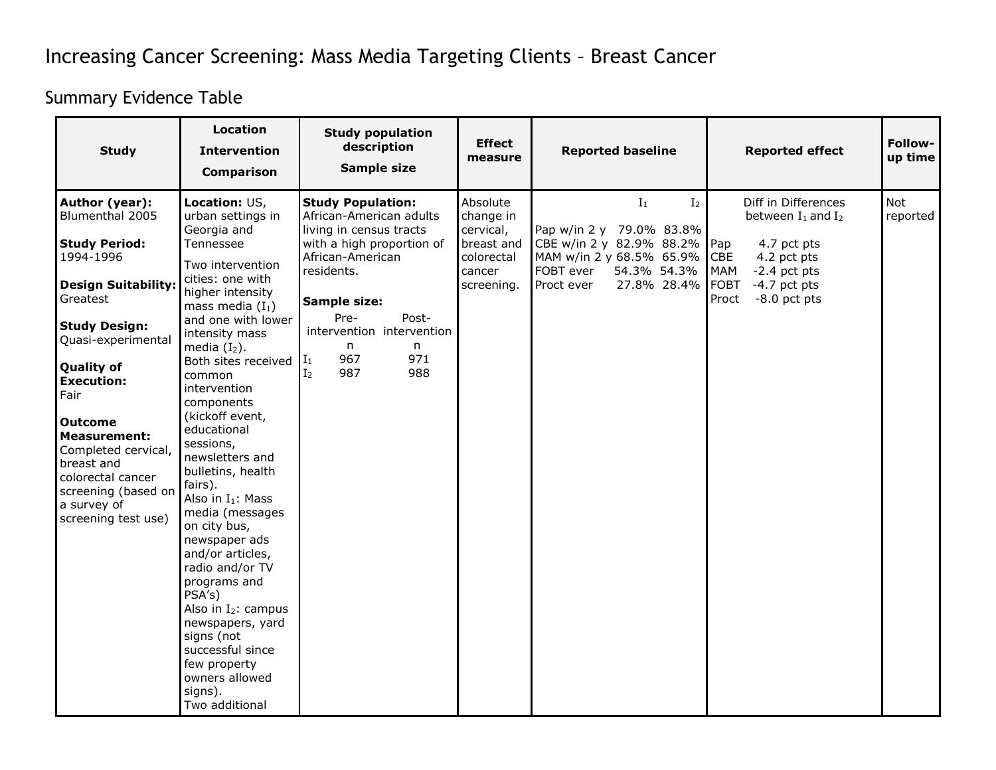## Increasing Cancer Screening: Mass Media Targeting Clients – Breast Cancer

## Summary Evidence Table

| <b>Study</b>                                                                                                                                                                                                                                                                                                                                                                     | <b>Location</b><br><b>Intervention</b><br><b>Comparison</b>                                                                                                                                                                                                                                                                                                                                                                                                                                                                                                                                                                                                                       | <b>Study population</b><br>description<br>Sample size                                                                                                                                                                                                                                  | <b>Effect</b><br>measure                                                               | <b>Reported baseline</b>                                                                                                                                             | <b>Reported effect</b>                                                                                                                                                          | Follow-<br>up time     |
|----------------------------------------------------------------------------------------------------------------------------------------------------------------------------------------------------------------------------------------------------------------------------------------------------------------------------------------------------------------------------------|-----------------------------------------------------------------------------------------------------------------------------------------------------------------------------------------------------------------------------------------------------------------------------------------------------------------------------------------------------------------------------------------------------------------------------------------------------------------------------------------------------------------------------------------------------------------------------------------------------------------------------------------------------------------------------------|----------------------------------------------------------------------------------------------------------------------------------------------------------------------------------------------------------------------------------------------------------------------------------------|----------------------------------------------------------------------------------------|----------------------------------------------------------------------------------------------------------------------------------------------------------------------|---------------------------------------------------------------------------------------------------------------------------------------------------------------------------------|------------------------|
| Author (year):<br>Blumenthal 2005<br><b>Study Period:</b><br>1994-1996<br><b>Design Suitability:</b><br>Greatest<br><b>Study Design:</b><br>Quasi-experimental<br><b>Quality of</b><br><b>Execution:</b><br>Fair<br><b>Outcome</b><br><b>Measurement:</b><br>Completed cervical,<br>breast and<br>colorectal cancer<br>screening (based on<br>a survey of<br>screening test use) | Location: US,<br>urban settings in<br>Georgia and<br>Tennessee<br>Two intervention<br>cities: one with<br>higher intensity<br>mass media $(I_1)$<br>and one with lower<br>intensity mass<br>media $(I_2)$ .<br>Both sites received<br>common<br>intervention<br>components<br>(kickoff event,<br>educational<br>sessions,<br>newsletters and<br>bulletins, health<br>fairs).<br>Also in I <sub>1</sub> : Mass<br>media (messages<br>on city bus,<br>newspaper ads<br>and/or articles,<br>radio and/or TV<br>programs and<br>PSA's)<br>Also in $I_2$ : campus<br>newspapers, yard<br>signs (not<br>successful since<br>few property<br>owners allowed<br>signs).<br>Two additional | <b>Study Population:</b><br>African-American adults<br>living in census tracts<br>with a high proportion of<br>African-American<br>residents.<br>Sample size:<br>Pre-<br>Post-<br>intervention intervention<br>n.<br>n<br>967<br>971<br>$\mathbf{I}_1$<br>987<br>988<br>I <sub>2</sub> | Absolute<br>change in<br>cervical,<br>breast and<br>colorectal<br>cancer<br>screening. | $I_1$<br>I <sub>2</sub><br>Pap w/in 2 y 79.0% 83.8%<br>CBE w/in 2 y 82.9% 88.2%<br>MAM w/in 2 y 68.5% 65.9%<br>FOBT ever<br>54.3% 54.3%<br>Proct ever<br>27.8% 28.4% | Diff in Differences<br>between $I_1$ and $I_2$<br>Pap<br>4.7 pct pts<br>CBE<br>4.2 pct pts<br>MAM<br>$-2.4$ pct pts<br><b>FOBT</b><br>$-4.7$ pct pts<br>Proct<br>$-8.0$ pct pts | <b>Not</b><br>reported |